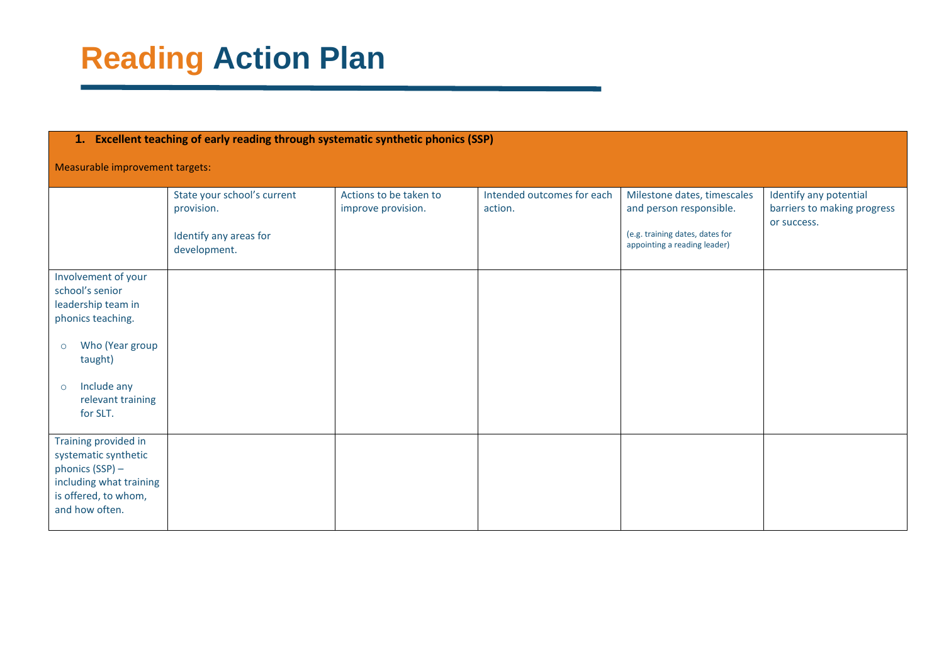| 1. Excellent teaching of early reading through systematic synthetic phonics (SSP)                                                                                                     |                                                                                     |                                              |                                       |                                                                                                                           |                                                                      |  |
|---------------------------------------------------------------------------------------------------------------------------------------------------------------------------------------|-------------------------------------------------------------------------------------|----------------------------------------------|---------------------------------------|---------------------------------------------------------------------------------------------------------------------------|----------------------------------------------------------------------|--|
| Measurable improvement targets:                                                                                                                                                       |                                                                                     |                                              |                                       |                                                                                                                           |                                                                      |  |
|                                                                                                                                                                                       | State your school's current<br>provision.<br>Identify any areas for<br>development. | Actions to be taken to<br>improve provision. | Intended outcomes for each<br>action. | Milestone dates, timescales<br>and person responsible.<br>(e.g. training dates, dates for<br>appointing a reading leader) | Identify any potential<br>barriers to making progress<br>or success. |  |
| Involvement of your<br>school's senior<br>leadership team in<br>phonics teaching.<br>Who (Year group<br>$\circ$<br>taught)<br>Include any<br>$\circ$<br>relevant training<br>for SLT. |                                                                                     |                                              |                                       |                                                                                                                           |                                                                      |  |
| Training provided in<br>systematic synthetic<br>phonics (SSP) –<br>including what training<br>is offered, to whom,<br>and how often.                                                  |                                                                                     |                                              |                                       |                                                                                                                           |                                                                      |  |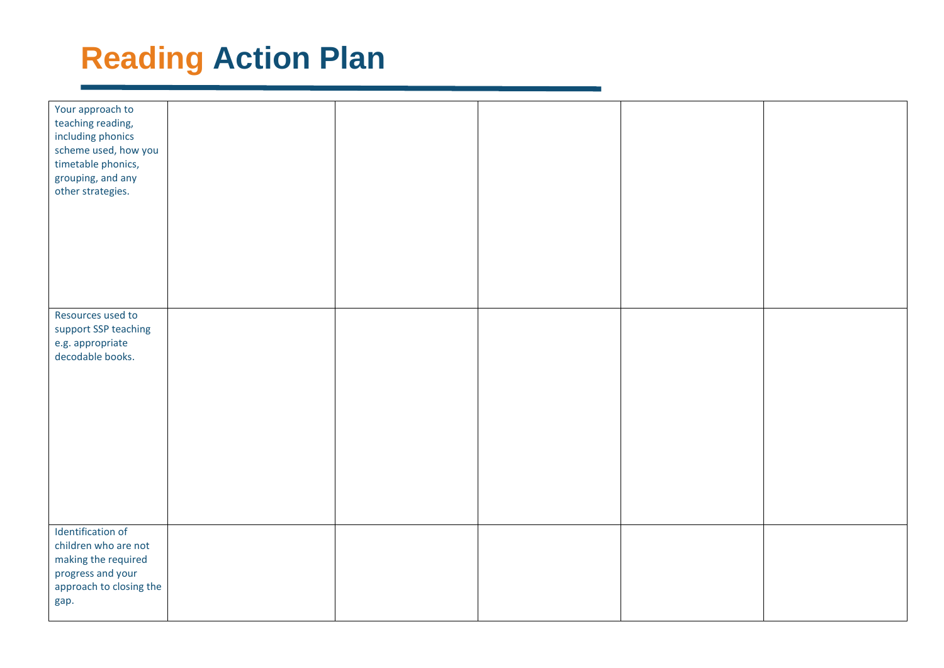| Your approach to<br>teaching reading,<br>including phonics<br>scheme used, how you<br>timetable phonics,<br>grouping, and any<br>other strategies. |  |  |  |
|----------------------------------------------------------------------------------------------------------------------------------------------------|--|--|--|
|                                                                                                                                                    |  |  |  |
| Resources used to<br>support SSP teaching<br>e.g. appropriate<br>decodable books.                                                                  |  |  |  |
| Identification of<br>children who are not<br>making the required<br>progress and your<br>approach to closing the<br>gap.                           |  |  |  |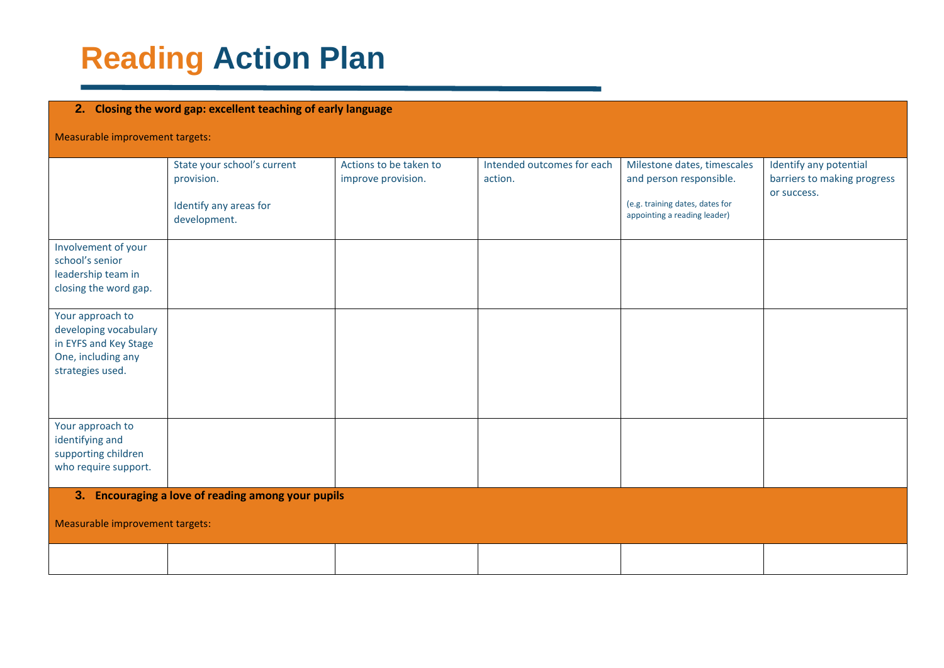#### **2. Closing the word gap: excellent teaching of early language**

Measurable improvement targets:

|                                                                                                              | State your school's current<br>provision.<br>Identify any areas for<br>development. | Actions to be taken to<br>improve provision. | Intended outcomes for each<br>action. | Milestone dates, timescales<br>and person responsible.<br>(e.g. training dates, dates for<br>appointing a reading leader) | Identify any potential<br>barriers to making progress<br>or success. |
|--------------------------------------------------------------------------------------------------------------|-------------------------------------------------------------------------------------|----------------------------------------------|---------------------------------------|---------------------------------------------------------------------------------------------------------------------------|----------------------------------------------------------------------|
| Involvement of your<br>school's senior<br>leadership team in<br>closing the word gap.                        |                                                                                     |                                              |                                       |                                                                                                                           |                                                                      |
| Your approach to<br>developing vocabulary<br>in EYFS and Key Stage<br>One, including any<br>strategies used. |                                                                                     |                                              |                                       |                                                                                                                           |                                                                      |
| Your approach to<br>identifying and<br>supporting children<br>who require support.                           |                                                                                     |                                              |                                       |                                                                                                                           |                                                                      |
| Measurable improvement targets:                                                                              | 3. Encouraging a love of reading among your pupils                                  |                                              |                                       |                                                                                                                           |                                                                      |
|                                                                                                              |                                                                                     |                                              |                                       |                                                                                                                           |                                                                      |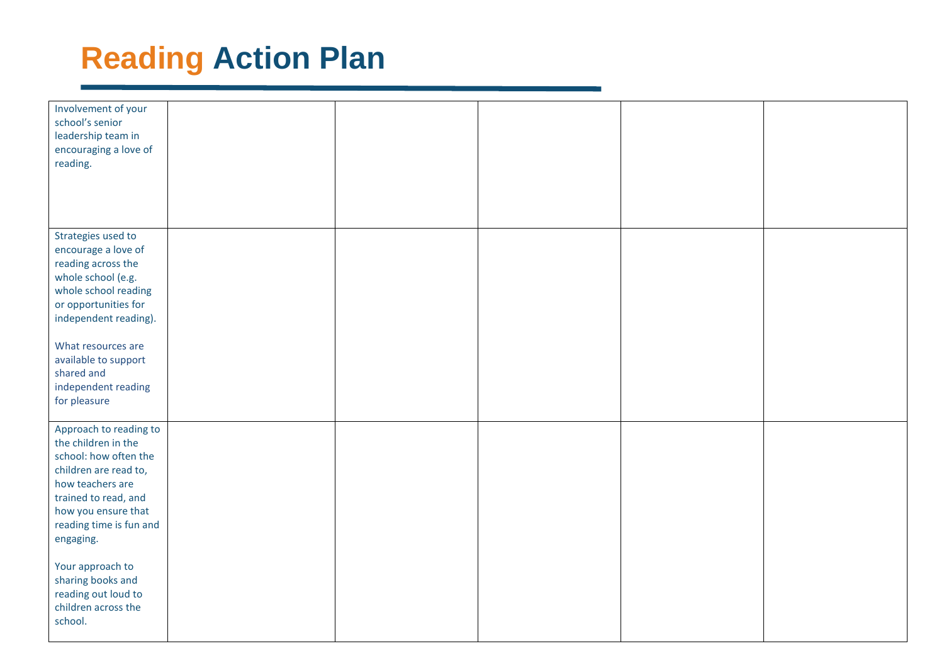| Involvement of your<br>school's senior<br>leadership team in<br>encouraging a love of<br>reading.                                                                                                                                                                                                            |  |  |  |
|--------------------------------------------------------------------------------------------------------------------------------------------------------------------------------------------------------------------------------------------------------------------------------------------------------------|--|--|--|
| Strategies used to<br>encourage a love of<br>reading across the<br>whole school (e.g.<br>whole school reading<br>or opportunities for<br>independent reading).<br>What resources are<br>available to support<br>shared and<br>independent reading<br>for pleasure                                            |  |  |  |
| Approach to reading to<br>the children in the<br>school: how often the<br>children are read to,<br>how teachers are<br>trained to read, and<br>how you ensure that<br>reading time is fun and<br>engaging.<br>Your approach to<br>sharing books and<br>reading out loud to<br>children across the<br>school. |  |  |  |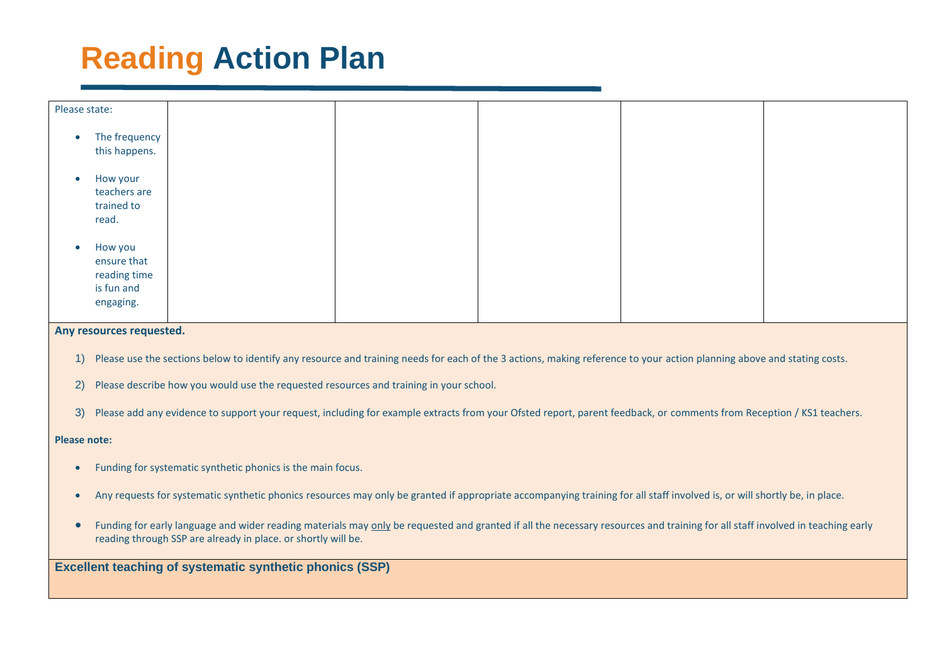

#### **Any resources requested.**

- 1) Please use the sections below to identify any resource and training needs for each of the 3 actions, making reference to your action planning above and stating costs.
- 2) Please describe how you would use the requested resources and training in your school.
- 3) Please add any evidence to support your request, including for example extracts from your Ofsted report, parent feedback, or comments from Reception / KS1 teachers.

#### **Please note:**

- Funding for systematic synthetic phonics is the main focus.
- Any requests for systematic synthetic phonics resources may only be granted if appropriate accompanying training for all staff involved is, or will shortly be, in place.
- Funding for early language and wider reading materials may only be requested and granted if all the necessary resources and training for all staff involved in teaching early reading through SSP are already in place. or shortly will be.

**Excellent teaching of systematic synthetic phonics (SSP)**